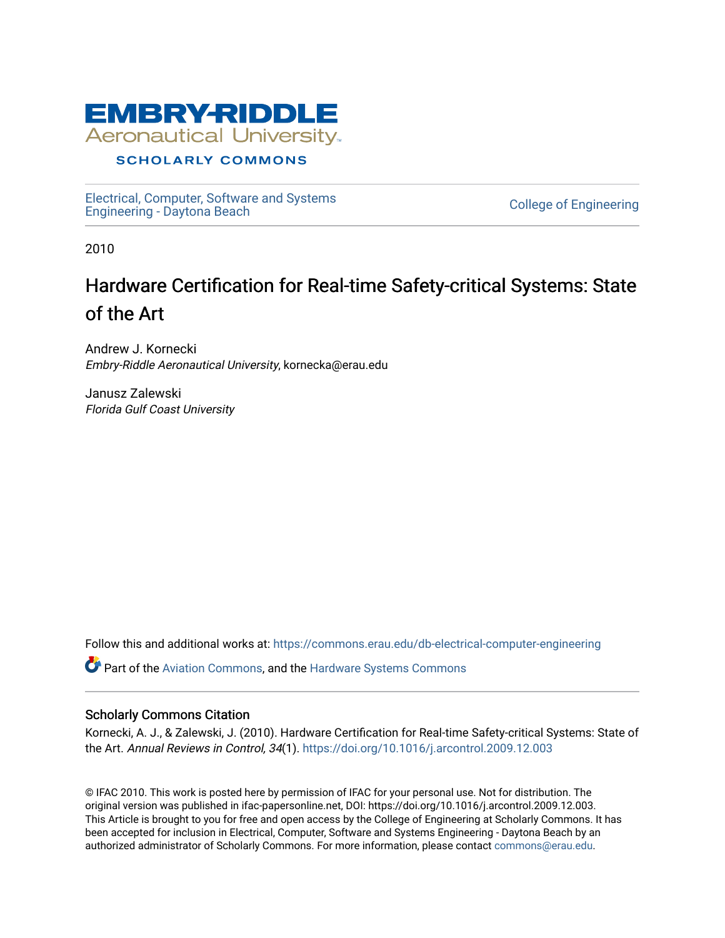

# **SCHOLARLY COMMONS**

[Electrical, Computer, Software and Systems](https://commons.erau.edu/db-electrical-computer-engineering) Electrical, Computer, Software and Systems<br>[Engineering - Daytona Beach](https://commons.erau.edu/db-electrical-computer-engineering)

2010

# Hardware Certification for Real-time Safety-critical Systems: State of the Art

Andrew J. Kornecki Embry-Riddle Aeronautical University, kornecka@erau.edu

Janusz Zalewski Florida Gulf Coast University

Follow this and additional works at: [https://commons.erau.edu/db-electrical-computer-engineering](https://commons.erau.edu/db-electrical-computer-engineering?utm_source=commons.erau.edu%2Fdb-electrical-computer-engineering%2F8&utm_medium=PDF&utm_campaign=PDFCoverPages) 

Part of the [Aviation Commons,](http://network.bepress.com/hgg/discipline/1297?utm_source=commons.erau.edu%2Fdb-electrical-computer-engineering%2F8&utm_medium=PDF&utm_campaign=PDFCoverPages) and the [Hardware Systems Commons](http://network.bepress.com/hgg/discipline/263?utm_source=commons.erau.edu%2Fdb-electrical-computer-engineering%2F8&utm_medium=PDF&utm_campaign=PDFCoverPages)

### Scholarly Commons Citation

Kornecki, A. J., & Zalewski, J. (2010). Hardware Certification for Real-time Safety-critical Systems: State of the Art. Annual Reviews in Control, 34(1). <https://doi.org/10.1016/j.arcontrol.2009.12.003>

© IFAC 2010. This work is posted here by permission of IFAC for your personal use. Not for distribution. The original version was published in ifac-papersonline.net, DOI: https://doi.org/10.1016/j.arcontrol.2009.12.003. This Article is brought to you for free and open access by the College of Engineering at Scholarly Commons. It has been accepted for inclusion in Electrical, Computer, Software and Systems Engineering - Daytona Beach by an authorized administrator of Scholarly Commons. For more information, please contact [commons@erau.edu.](mailto:commons@erau.edu)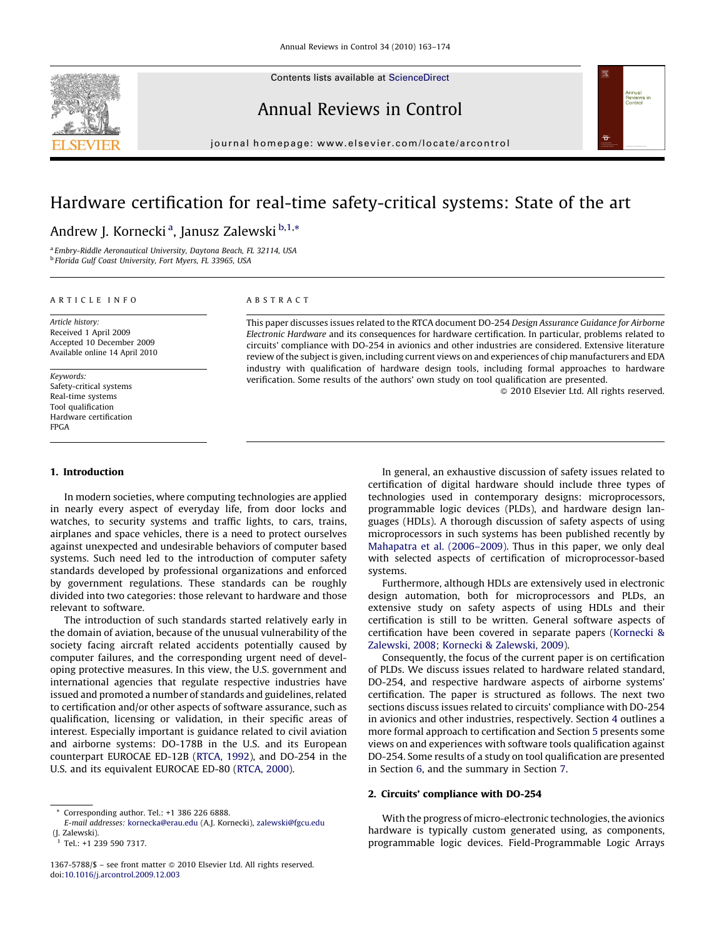Contents lists available at [ScienceDirect](http://www.sciencedirect.com/science/journal/13675788)



Annual Reviews in Control



journal homepage: www.elsevier.com/locate/arcontrol

# Hardware certification for real-time safety-critical systems: State of the art

# Andrew J. Kornecki<sup>a</sup>, Janusz Zalewski <sup>b,1,</sup>\*

<sup>a</sup> Embry-Riddle Aeronautical University, Daytona Beach, FL 32114, USA <sup>b</sup> Florida Gulf Coast University, Fort Myers, FL 33965, USA

#### ARTICLE INFO

Article history: Received 1 April 2009 Accepted 10 December 2009 Available online 14 April 2010

Keywords: Safety-critical systems Real-time systems Tool qualification Hardware certification FPGA

# ABSTRACT

This paper discusses issues related to the RTCA document DO-254 Design Assurance Guidance for Airborne Electronic Hardware and its consequences for hardware certification. In particular, problems related to circuits' compliance with DO-254 in avionics and other industries are considered. Extensive literature review of the subject is given, including current views on and experiences of chip manufacturers and EDA industry with qualification of hardware design tools, including formal approaches to hardware verification. Some results of the authors' own study on tool qualification are presented.

- 2010 Elsevier Ltd. All rights reserved.

#### 1. Introduction

In modern societies, where computing technologies are applied in nearly every aspect of everyday life, from door locks and watches, to security systems and traffic lights, to cars, trains, airplanes and space vehicles, there is a need to protect ourselves against unexpected and undesirable behaviors of computer based systems. Such need led to the introduction of computer safety standards developed by professional organizations and enforced by government regulations. These standards can be roughly divided into two categories: those relevant to hardware and those relevant to software.

The introduction of such standards started relatively early in the domain of aviation, because of the unusual vulnerability of the society facing aircraft related accidents potentially caused by computer failures, and the corresponding urgent need of developing protective measures. In this view, the U.S. government and international agencies that regulate respective industries have issued and promoted a number of standards and guidelines, related to certification and/or other aspects of software assurance, such as qualification, licensing or validation, in their specific areas of interest. Especially important is guidance related to civil aviation and airborne systems: DO-178B in the U.S. and its European counterpart EUROCAE ED-12B [\(RTCA, 1992](#page-12-0)), and DO-254 in the U.S. and its equivalent EUROCAE ED-80 ([RTCA, 2000](#page-12-0)).

In general, an exhaustive discussion of safety issues related to certification of digital hardware should include three types of technologies used in contemporary designs: microprocessors, programmable logic devices (PLDs), and hardware design languages (HDLs). A thorough discussion of safety aspects of using microprocessors in such systems has been published recently by [Mahapatra et al. \(2006–2009\).](#page-12-0) Thus in this paper, we only deal with selected aspects of certification of microprocessor-based systems.

Furthermore, although HDLs are extensively used in electronic design automation, both for microprocessors and PLDs, an extensive study on safety aspects of using HDLs and their certification is still to be written. General software aspects of certification have been covered in separate papers [\(Kornecki &](#page-11-0) [Zalewski, 2008; Kornecki & Zalewski, 2009](#page-11-0)).

Consequently, the focus of the current paper is on certification of PLDs. We discuss issues related to hardware related standard, DO-254, and respective hardware aspects of airborne systems' certification. The paper is structured as follows. The next two sections discuss issues related to circuits' compliance with DO-254 in avionics and other industries, respectively. Section [4](#page-5-0) outlines a more formal approach to certification and Section [5](#page-7-0) presents some views on and experiences with software tools qualification against DO-254. Some results of a study on tool qualification are presented in Section [6](#page-9-0), and the summary in Section [7.](#page-10-0)

#### 2. Circuits' compliance with DO-254

With the progress of micro-electronic technologies, the avionics hardware is typically custom generated using, as components, programmable logic devices. Field-Programmable Logic Arrays

Corresponding author. Tel.: +1 386 226 6888.

E-mail addresses: [kornecka@erau.edu](mailto:kornecka@erau.edu) (A.J. Kornecki), [zalewski@fgcu.edu](mailto:zalewski@fgcu.edu) (J. Zalewski).

Tel.: +1 239 590 7317.

<sup>1367-5788/\$ -</sup> see front matter @ 2010 Elsevier Ltd. All rights reserved. doi:[10.1016/j.arcontrol.2009.12.003](http://dx.doi.org/10.1016/j.arcontrol.2009.12.003)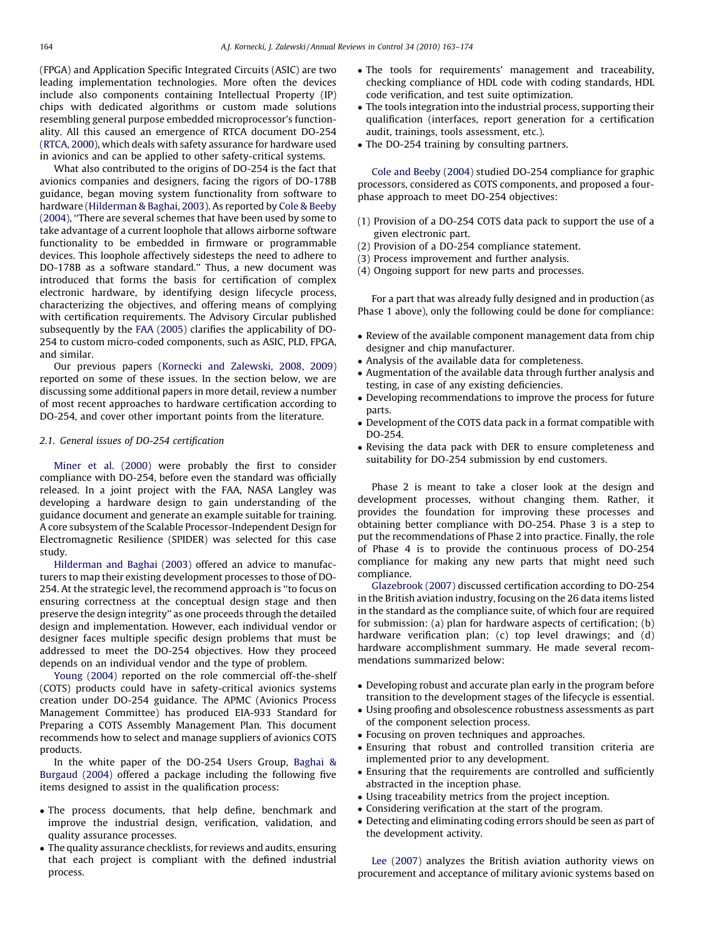(FPGA) and Application Specific Integrated Circuits (ASIC) are two leading implementation technologies. More often the devices include also components containing Intellectual Property (IP) chips with dedicated algorithms or custom made solutions resembling general purpose embedded microprocessor's functionality. All this caused an emergence of RTCA document DO-254 ([RTCA, 2000\)](#page-12-0), which deals with safety assurance for hardware used in avionics and can be applied to other safety-critical systems.

What also contributed to the origins of DO-254 is the fact that avionics companies and designers, facing the rigors of DO-178B guidance, began moving system functionality from software to hardware [\(Hilderman & Baghai, 2003](#page-11-0)). As reported by [Cole & Beeby](#page-11-0) [\(2004\),](#page-11-0) ''There are several schemes that have been used by some to take advantage of a current loophole that allows airborne software functionality to be embedded in firmware or programmable devices. This loophole affectively sidesteps the need to adhere to DO-178B as a software standard.'' Thus, a new document was introduced that forms the basis for certification of complex electronic hardware, by identifying design lifecycle process, characterizing the objectives, and offering means of complying with certification requirements. The Advisory Circular published subsequently by the [FAA \(2005\)](#page-11-0) clarifies the applicability of DO-254 to custom micro-coded components, such as ASIC, PLD, FPGA, and similar.

Our previous papers [\(Kornecki and Zalewski, 2008, 2009\)](#page-11-0) reported on some of these issues. In the section below, we are discussing some additional papers in more detail, review a number of most recent approaches to hardware certification according to DO-254, and cover other important points from the literature.

#### 2.1. General issues of DO-254 certification

[Miner et al. \(2000\)](#page-12-0) were probably the first to consider compliance with DO-254, before even the standard was officially released. In a joint project with the FAA, NASA Langley was developing a hardware design to gain understanding of the guidance document and generate an example suitable for training. A core subsystem of the Scalable Processor-Independent Design for Electromagnetic Resilience (SPIDER) was selected for this case study.

[Hilderman and Baghai \(2003\)](#page-11-0) offered an advice to manufacturers to map their existing development processes to those of DO-254. At the strategic level, the recommend approach is ''to focus on ensuring correctness at the conceptual design stage and then preserve the design integrity'' as one proceeds through the detailed design and implementation. However, each individual vendor or designer faces multiple specific design problems that must be addressed to meet the DO-254 objectives. How they proceed depends on an individual vendor and the type of problem.

[Young \(2004\)](#page-12-0) reported on the role commercial off-the-shelf (COTS) products could have in safety-critical avionics systems creation under DO-254 guidance. The APMC (Avionics Process Management Committee) has produced EIA-933 Standard for Preparing a COTS Assembly Management Plan. This document recommends how to select and manage suppliers of avionics COTS products.

In the white paper of the DO-254 Users Group, [Baghai &](#page-11-0) [Burgaud \(2004\)](#page-11-0) offered a package including the following five items designed to assist in the qualification process:

- The process documents, that help define, benchmark and improve the industrial design, verification, validation, and quality assurance processes.
- The quality assurance checklists, for reviews and audits, ensuring that each project is compliant with the defined industrial process.
- The tools for requirements' management and traceability, checking compliance of HDL code with coding standards, HDL code verification, and test suite optimization.
- The tools integration into the industrial process, supporting their qualification (interfaces, report generation for a certification audit, trainings, tools assessment, etc.).
- The DO-254 training by consulting partners.

[Cole and Beeby \(2004\)](#page-11-0) studied DO-254 compliance for graphic processors, considered as COTS components, and proposed a fourphase approach to meet DO-254 objectives:

- (1) Provision of a DO-254 COTS data pack to support the use of a given electronic part.
- (2) Provision of a DO-254 compliance statement.
- (3) Process improvement and further analysis.
- (4) Ongoing support for new parts and processes.

For a part that was already fully designed and in production (as Phase 1 above), only the following could be done for compliance:

- Review of the available component management data from chip designer and chip manufacturer.
- Analysis of the available data for completeness.
- Augmentation of the available data through further analysis and testing, in case of any existing deficiencies.
- Developing recommendations to improve the process for future parts.
- Development of the COTS data pack in a format compatible with DO-254.
- Revising the data pack with DER to ensure completeness and suitability for DO-254 submission by end customers.

Phase 2 is meant to take a closer look at the design and development processes, without changing them. Rather, it provides the foundation for improving these processes and obtaining better compliance with DO-254. Phase 3 is a step to put the recommendations of Phase 2 into practice. Finally, the role of Phase 4 is to provide the continuous process of DO-254 compliance for making any new parts that might need such compliance.

[Glazebrook \(2007\)](#page-11-0) discussed certification according to DO-254 in the British aviation industry, focusing on the 26 data items listed in the standard as the compliance suite, of which four are required for submission: (a) plan for hardware aspects of certification; (b) hardware verification plan; (c) top level drawings; and (d) hardware accomplishment summary. He made several recommendations summarized below:

- Developing robust and accurate plan early in the program before transition to the development stages of the lifecycle is essential.
- Using proofing and obsolescence robustness assessments as part of the component selection process.
- Focusing on proven techniques and approaches.
- Ensuring that robust and controlled transition criteria are implemented prior to any development.
- Ensuring that the requirements are controlled and sufficiently abstracted in the inception phase.
- Using traceability metrics from the project inception.
- Considering verification at the start of the program.
- Detecting and eliminating coding errors should be seen as part of the development activity.

[Lee \(2007\)](#page-11-0) analyzes the British aviation authority views on procurement and acceptance of military avionic systems based on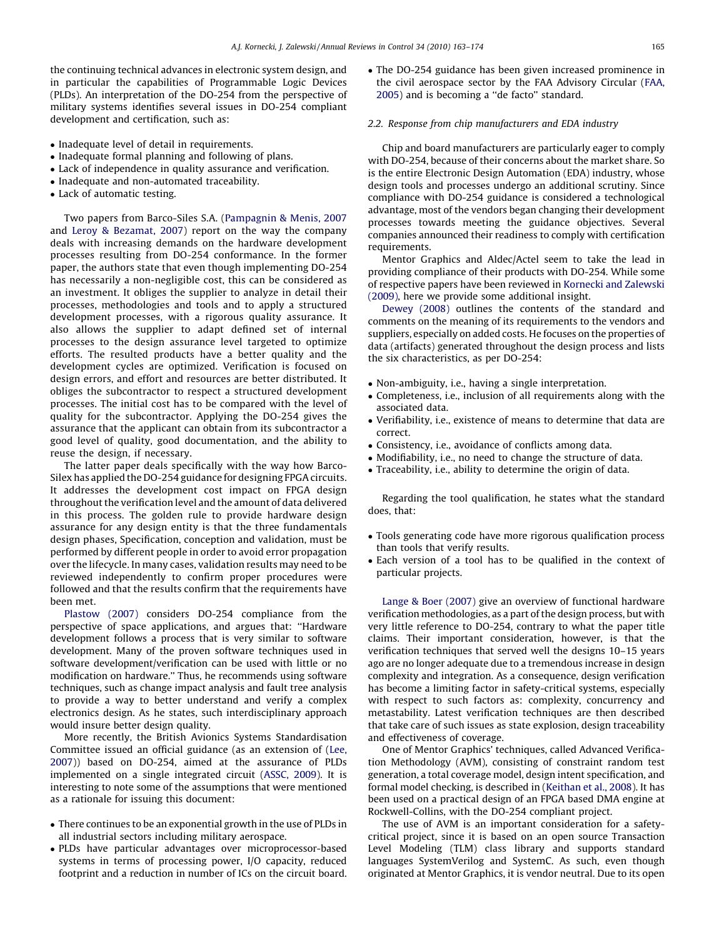the continuing technical advances in electronic system design, and in particular the capabilities of Programmable Logic Devices (PLDs). An interpretation of the DO-254 from the perspective of military systems identifies several issues in DO-254 compliant development and certification, such as:

- Inadequate level of detail in requirements.
- Inadequate formal planning and following of plans.
- Lack of independence in quality assurance and verification.
- Inadequate and non-automated traceability.
- Lack of automatic testing.

Two papers from Barco-Siles S.A. [\(Pampagnin & Menis, 2007](#page-12-0) and [Leroy & Bezamat, 2007](#page-11-0)) report on the way the company deals with increasing demands on the hardware development processes resulting from DO-254 conformance. In the former paper, the authors state that even though implementing DO-254 has necessarily a non-negligible cost, this can be considered as an investment. It obliges the supplier to analyze in detail their processes, methodologies and tools and to apply a structured development processes, with a rigorous quality assurance. It also allows the supplier to adapt defined set of internal processes to the design assurance level targeted to optimize efforts. The resulted products have a better quality and the development cycles are optimized. Verification is focused on design errors, and effort and resources are better distributed. It obliges the subcontractor to respect a structured development processes. The initial cost has to be compared with the level of quality for the subcontractor. Applying the DO-254 gives the assurance that the applicant can obtain from its subcontractor a good level of quality, good documentation, and the ability to reuse the design, if necessary.

The latter paper deals specifically with the way how Barco-Silex has applied the DO-254 guidance for designing FPGA circuits. It addresses the development cost impact on FPGA design throughout the verification level and the amount of data delivered in this process. The golden rule to provide hardware design assurance for any design entity is that the three fundamentals design phases, Specification, conception and validation, must be performed by different people in order to avoid error propagation over the lifecycle. In many cases, validation results may need to be reviewed independently to confirm proper procedures were followed and that the results confirm that the requirements have been met.

[Plastow \(2007\)](#page-12-0) considers DO-254 compliance from the perspective of space applications, and argues that: ''Hardware development follows a process that is very similar to software development. Many of the proven software techniques used in software development/verification can be used with little or no modification on hardware.'' Thus, he recommends using software techniques, such as change impact analysis and fault tree analysis to provide a way to better understand and verify a complex electronics design. As he states, such interdisciplinary approach would insure better design quality.

More recently, the British Avionics Systems Standardisation Committee issued an official guidance (as an extension of ([Lee,](#page-11-0) [2007\)](#page-11-0)) based on DO-254, aimed at the assurance of PLDs implemented on a single integrated circuit [\(ASSC, 2009\)](#page-11-0). It is interesting to note some of the assumptions that were mentioned as a rationale for issuing this document:

- There continues to be an exponential growth in the use of PLDs in all industrial sectors including military aerospace.
- PLDs have particular advantages over microprocessor-based systems in terms of processing power, I/O capacity, reduced footprint and a reduction in number of ICs on the circuit board.

- The DO-254 guidance has been given increased prominence in the civil aerospace sector by the FAA Advisory Circular ([FAA,](#page-11-0) [2005\)](#page-11-0) and is becoming a ''de facto'' standard.

#### 2.2. Response from chip manufacturers and EDA industry

Chip and board manufacturers are particularly eager to comply with DO-254, because of their concerns about the market share. So is the entire Electronic Design Automation (EDA) industry, whose design tools and processes undergo an additional scrutiny. Since compliance with DO-254 guidance is considered a technological advantage, most of the vendors began changing their development processes towards meeting the guidance objectives. Several companies announced their readiness to comply with certification requirements.

Mentor Graphics and Aldec/Actel seem to take the lead in providing compliance of their products with DO-254. While some of respective papers have been reviewed in [Kornecki and Zalewski](#page-11-0) [\(2009\),](#page-11-0) here we provide some additional insight.

[Dewey \(2008\)](#page-11-0) outlines the contents of the standard and comments on the meaning of its requirements to the vendors and suppliers, especially on added costs. He focuses on the properties of data (artifacts) generated throughout the design process and lists the six characteristics, as per DO-254:

- Non-ambiguity, i.e., having a single interpretation.
- Completeness, i.e., inclusion of all requirements along with the associated data.
- Verifiability, i.e., existence of means to determine that data are correct.
- Consistency, i.e., avoidance of conflicts among data.
- Modifiability, i.e., no need to change the structure of data.
- Traceability, i.e., ability to determine the origin of data.

Regarding the tool qualification, he states what the standard does, that:

- Tools generating code have more rigorous qualification process than tools that verify results.
- Each version of a tool has to be qualified in the context of particular projects.

[Lange & Boer \(2007\)](#page-11-0) give an overview of functional hardware verification methodologies, as a part of the design process, but with very little reference to DO-254, contrary to what the paper title claims. Their important consideration, however, is that the verification techniques that served well the designs 10–15 years ago are no longer adequate due to a tremendous increase in design complexity and integration. As a consequence, design verification has become a limiting factor in safety-critical systems, especially with respect to such factors as: complexity, concurrency and metastability. Latest verification techniques are then described that take care of such issues as state explosion, design traceability and effectiveness of coverage.

One of Mentor Graphics' techniques, called Advanced Verification Methodology (AVM), consisting of constraint random test generation, a total coverage model, design intent specification, and formal model checking, is described in [\(Keithan et al., 2008\)](#page-11-0). It has been used on a practical design of an FPGA based DMA engine at Rockwell-Collins, with the DO-254 compliant project.

The use of AVM is an important consideration for a safetycritical project, since it is based on an open source Transaction Level Modeling (TLM) class library and supports standard languages SystemVerilog and SystemC. As such, even though originated at Mentor Graphics, it is vendor neutral. Due to its open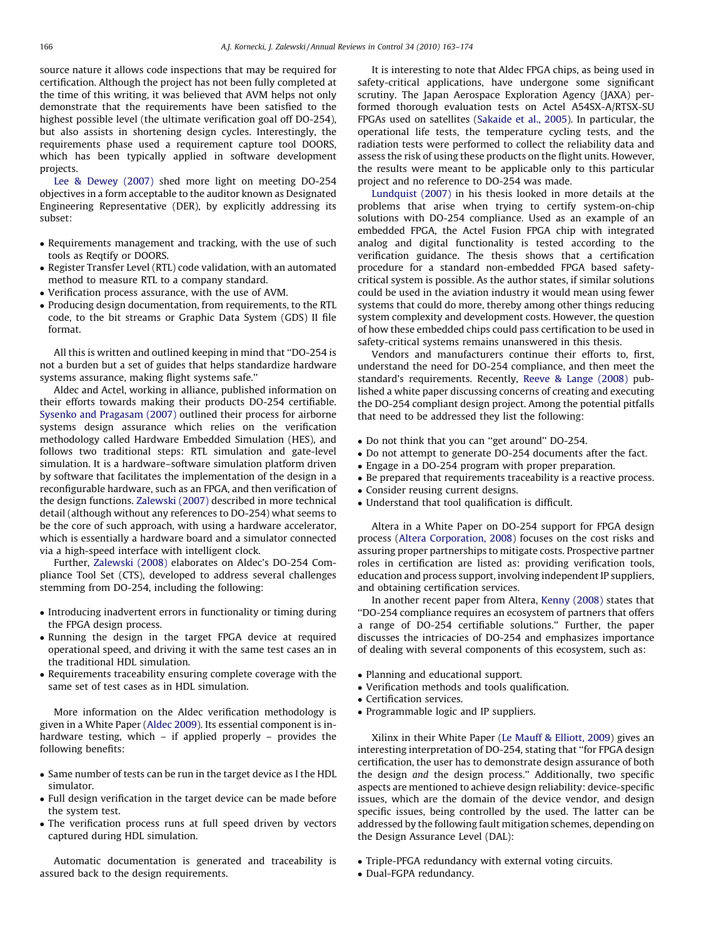source nature it allows code inspections that may be required for certification. Although the project has not been fully completed at the time of this writing, it was believed that AVM helps not only demonstrate that the requirements have been satisfied to the highest possible level (the ultimate verification goal off DO-254), but also assists in shortening design cycles. Interestingly, the requirements phase used a requirement capture tool DOORS, which has been typically applied in software development projects.

[Lee & Dewey \(2007\)](#page-11-0) shed more light on meeting DO-254 objectives in a form acceptable to the auditor known as Designated Engineering Representative (DER), by explicitly addressing its subset:

- Requirements management and tracking, with the use of such tools as Reqtify or DOORS.
- Register Transfer Level (RTL) code validation, with an automated method to measure RTL to a company standard.
- Verification process assurance, with the use of AVM.
- Producing design documentation, from requirements, to the RTL code, to the bit streams or Graphic Data System (GDS) II file format.

All this is written and outlined keeping in mind that ''DO-254 is not a burden but a set of guides that helps standardize hardware systems assurance, making flight systems safe.''

Aldec and Actel, working in alliance, published information on their efforts towards making their products DO-254 certifiable. [Sysenko and Pragasam \(2007\)](#page-12-0) outlined their process for airborne systems design assurance which relies on the verification methodology called Hardware Embedded Simulation (HES), and follows two traditional steps: RTL simulation and gate-level simulation. It is a hardware–software simulation platform driven by software that facilitates the implementation of the design in a reconfigurable hardware, such as an FPGA, and then verification of the design functions. [Zalewski \(2007\)](#page-12-0) described in more technical detail (although without any references to DO-254) what seems to be the core of such approach, with using a hardware accelerator, which is essentially a hardware board and a simulator connected via a high-speed interface with intelligent clock.

Further, [Zalewski \(2008\)](#page-12-0) elaborates on Aldec's DO-254 Compliance Tool Set (CTS), developed to address several challenges stemming from DO-254, including the following:

- Introducing inadvertent errors in functionality or timing during the FPGA design process.
- Running the design in the target FPGA device at required operational speed, and driving it with the same test cases an in the traditional HDL simulation.
- Requirements traceability ensuring complete coverage with the same set of test cases as in HDL simulation.

More information on the Aldec verification methodology is given in a White Paper [\(Aldec 2009\)](#page-11-0). Its essential component is inhardware testing, which – if applied properly – provides the following benefits:

- Same number of tests can be run in the target device as I the HDL simulator.
- Full design verification in the target device can be made before the system test.
- The verification process runs at full speed driven by vectors captured during HDL simulation.

Automatic documentation is generated and traceability is assured back to the design requirements.

It is interesting to note that Aldec FPGA chips, as being used in safety-critical applications, have undergone some significant scrutiny. The Japan Aerospace Exploration Agency (JAXA) performed thorough evaluation tests on Actel A54SX-A/RTSX-SU FPGAs used on satellites [\(Sakaide et al., 2005](#page-12-0)). In particular, the operational life tests, the temperature cycling tests, and the radiation tests were performed to collect the reliability data and assess the risk of using these products on the flight units. However, the results were meant to be applicable only to this particular project and no reference to DO-254 was made.

[Lundquist \(2007\)](#page-11-0) in his thesis looked in more details at the problems that arise when trying to certify system-on-chip solutions with DO-254 compliance. Used as an example of an embedded FPGA, the Actel Fusion FPGA chip with integrated analog and digital functionality is tested according to the verification guidance. The thesis shows that a certification procedure for a standard non-embedded FPGA based safetycritical system is possible. As the author states, if similar solutions could be used in the aviation industry it would mean using fewer systems that could do more, thereby among other things reducing system complexity and development costs. However, the question of how these embedded chips could pass certification to be used in safety-critical systems remains unanswered in this thesis.

Vendors and manufacturers continue their efforts to, first, understand the need for DO-254 compliance, and then meet the standard's requirements. Recently, [Reeve & Lange \(2008\)](#page-12-0) published a white paper discussing concerns of creating and executing the DO-254 compliant design project. Among the potential pitfalls that need to be addressed they list the following:

- Do not think that you can ''get around'' DO-254.
- Do not attempt to generate DO-254 documents after the fact.
- Engage in a DO-254 program with proper preparation.
- Be prepared that requirements traceability is a reactive process.
- Consider reusing current designs.
- Understand that tool qualification is difficult.

Altera in a White Paper on DO-254 support for FPGA design process ([Altera Corporation, 2008\)](#page-11-0) focuses on the cost risks and assuring proper partnerships to mitigate costs. Prospective partner roles in certification are listed as: providing verification tools, education and process support, involving independent IP suppliers, and obtaining certification services.

In another recent paper from Altera, [Kenny \(2008\)](#page-11-0) states that ''DO-254 compliance requires an ecosystem of partners that offers a range of DO-254 certifiable solutions.'' Further, the paper discusses the intricacies of DO-254 and emphasizes importance of dealing with several components of this ecosystem, such as:

- Planning and educational support.
- Verification methods and tools qualification.
- Certification services.
- Programmable logic and IP suppliers.

Xilinx in their White Paper ([Le Mauff & Elliott, 2009\)](#page-11-0) gives an interesting interpretation of DO-254, stating that ''for FPGA design certification, the user has to demonstrate design assurance of both the design and the design process.'' Additionally, two specific aspects are mentioned to achieve design reliability: device-specific issues, which are the domain of the device vendor, and design specific issues, being controlled by the used. The latter can be addressed by the following fault mitigation schemes, depending on the Design Assurance Level (DAL):

- Triple-PFGA redundancy with external voting circuits.
- Dual-FGPA redundancy.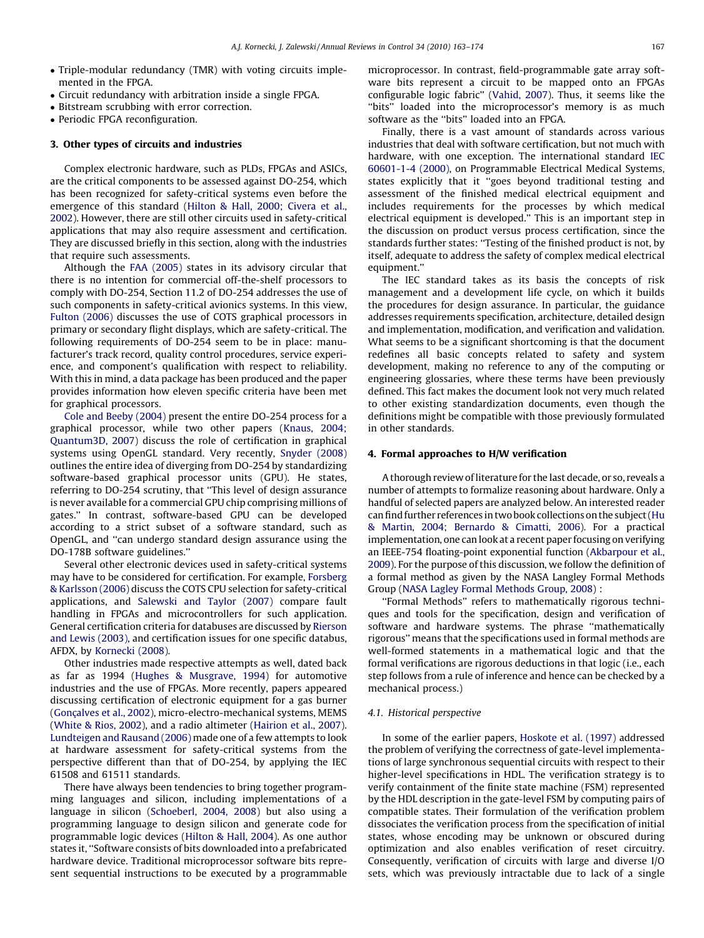- <span id="page-5-0"></span>- Triple-modular redundancy (TMR) with voting circuits implemented in the FPGA.
- Circuit redundancy with arbitration inside a single FPGA.
- Bitstream scrubbing with error correction.
- Periodic FPGA reconfiguration.

#### 3. Other types of circuits and industries

Complex electronic hardware, such as PLDs, FPGAs and ASICs, are the critical components to be assessed against DO-254, which has been recognized for safety-critical systems even before the emergence of this standard ([Hilton & Hall, 2000; Civera et al.,](#page-11-0) [2002\)](#page-11-0). However, there are still other circuits used in safety-critical applications that may also require assessment and certification. They are discussed briefly in this section, along with the industries that require such assessments.

Although the [FAA \(2005\)](#page-11-0) states in its advisory circular that there is no intention for commercial off-the-shelf processors to comply with DO-254, Section 11.2 of DO-254 addresses the use of such components in safety-critical avionics systems. In this view, [Fulton \(2006\)](#page-11-0) discusses the use of COTS graphical processors in primary or secondary flight displays, which are safety-critical. The following requirements of DO-254 seem to be in place: manufacturer's track record, quality control procedures, service experience, and component's qualification with respect to reliability. With this in mind, a data package has been produced and the paper provides information how eleven specific criteria have been met for graphical processors.

[Cole and Beeby \(2004\)](#page-11-0) present the entire DO-254 process for a graphical processor, while two other papers ([Knaus, 2004;](#page-11-0) [Quantum3D, 2007](#page-11-0)) discuss the role of certification in graphical systems using OpenGL standard. Very recently, [Snyder \(2008\)](#page-12-0) outlines the entire idea of diverging from DO-254 by standardizing software-based graphical processor units (GPU). He states, referring to DO-254 scrutiny, that ''This level of design assurance is never available for a commercial GPU chip comprising millions of gates.'' In contrast, software-based GPU can be developed according to a strict subset of a software standard, such as OpenGL, and ''can undergo standard design assurance using the DO-178B software guidelines.''

Several other electronic devices used in safety-critical systems may have to be considered for certification. For example, [Forsberg](#page-11-0) [& Karlsson \(2006\)](#page-11-0) discuss the COTS CPU selection for safety-critical applications, and [Salewski and Taylor \(2007\)](#page-12-0) compare fault handling in FPGAs and microcontrollers for such application. General certification criteria for databuses are discussed by [Rierson](#page-12-0) [and Lewis \(2003\)](#page-12-0), and certification issues for one specific databus, AFDX, by [Kornecki \(2008\)](#page-11-0).

Other industries made respective attempts as well, dated back as far as 1994 [\(Hughes & Musgrave, 1994\)](#page-11-0) for automotive industries and the use of FPGAs. More recently, papers appeared discussing certification of electronic equipment for a gas burner (Gonç[alves et al., 2002](#page-11-0)), micro-electro-mechanical systems, MEMS ([White & Rios, 2002\)](#page-12-0), and a radio altimeter ([Hairion et al., 2007\)](#page-11-0). [Lundteigen and Rausand \(2006\)](#page-12-0) made one of a few attempts to look at hardware assessment for safety-critical systems from the perspective different than that of DO-254, by applying the IEC 61508 and 61511 standards.

There have always been tendencies to bring together programming languages and silicon, including implementations of a language in silicon ([Schoeberl, 2004, 2008](#page-12-0)) but also using a programming language to design silicon and generate code for programmable logic devices ([Hilton & Hall, 2004\)](#page-11-0). As one author states it, ''Software consists of bits downloaded into a prefabricated hardware device. Traditional microprocessor software bits represent sequential instructions to be executed by a programmable microprocessor. In contrast, field-programmable gate array software bits represent a circuit to be mapped onto an FPGAs configurable logic fabric'' ([Vahid, 2007\)](#page-12-0). Thus, it seems like the "bits" loaded into the microprocessor's memory is as much software as the ''bits'' loaded into an FPGA.

Finally, there is a vast amount of standards across various industries that deal with software certification, but not much with hardware, with one exception. The international standard [IEC](#page-11-0) [60601-1-4 \(2000\)](#page-11-0), on Programmable Electrical Medical Systems, states explicitly that it ''goes beyond traditional testing and assessment of the finished medical electrical equipment and includes requirements for the processes by which medical electrical equipment is developed.'' This is an important step in the discussion on product versus process certification, since the standards further states: ''Testing of the finished product is not, by itself, adequate to address the safety of complex medical electrical equipment.''

The IEC standard takes as its basis the concepts of risk management and a development life cycle, on which it builds the procedures for design assurance. In particular, the guidance addresses requirements specification, architecture, detailed design and implementation, modification, and verification and validation. What seems to be a significant shortcoming is that the document redefines all basic concepts related to safety and system development, making no reference to any of the computing or engineering glossaries, where these terms have been previously defined. This fact makes the document look not very much related to other existing standardization documents, even though the definitions might be compatible with those previously formulated in other standards.

#### 4. Formal approaches to H/W verification

A thorough review of literature for the last decade, or so, reveals a number of attempts to formalize reasoning about hardware. Only a handful of selected papers are analyzed below. An interested reader can find further references in two book collections on the subject [\(Hu](#page-11-0) [& Martin, 2004; Bernardo & Cimatti, 2006](#page-11-0)). For a practical implementation, one can look at a recent paper focusing on verifying an IEEE-754 floating-point exponential function [\(Akbarpour et al.,](#page-11-0) [2009](#page-11-0)). For the purpose of this discussion, we follow the definition of a formal method as given by the NASA Langley Formal Methods Group ([NASA Lagley Formal Methods Group, 2008\)](#page-12-0) :

''Formal Methods'' refers to mathematically rigorous techniques and tools for the specification, design and verification of software and hardware systems. The phrase ''mathematically rigorous'' means that the specifications used in formal methods are well-formed statements in a mathematical logic and that the formal verifications are rigorous deductions in that logic (i.e., each step follows from a rule of inference and hence can be checked by a mechanical process.)

#### 4.1. Historical perspective

In some of the earlier papers, [Hoskote et al. \(1997\)](#page-11-0) addressed the problem of verifying the correctness of gate-level implementations of large synchronous sequential circuits with respect to their higher-level specifications in HDL. The verification strategy is to verify containment of the finite state machine (FSM) represented by the HDL description in the gate-level FSM by computing pairs of compatible states. Their formulation of the verification problem dissociates the verification process from the specification of initial states, whose encoding may be unknown or obscured during optimization and also enables verification of reset circuitry. Consequently, verification of circuits with large and diverse I/O sets, which was previously intractable due to lack of a single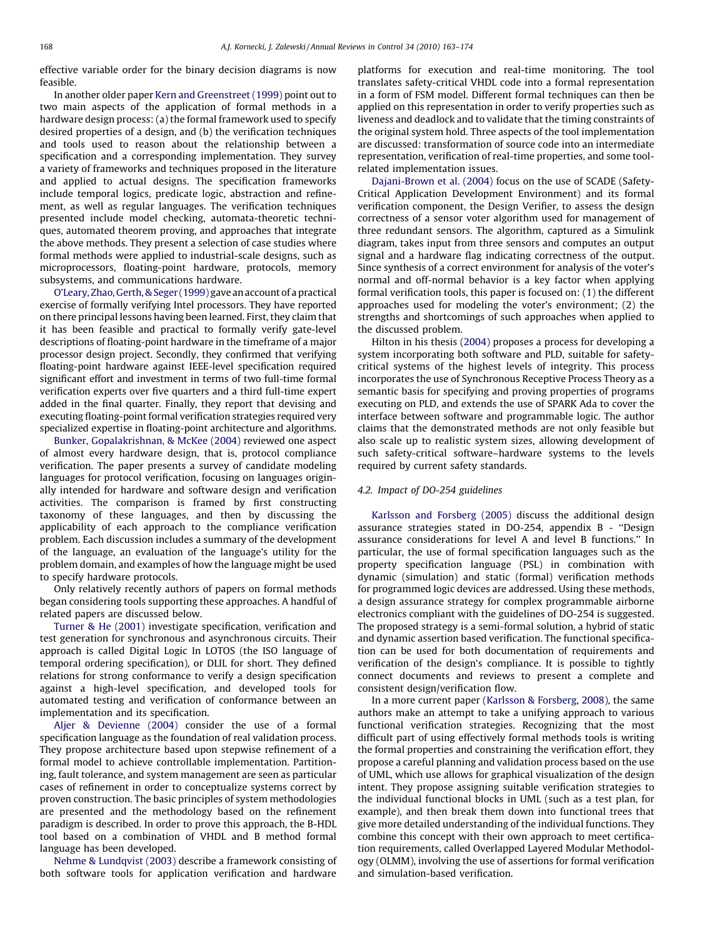effective variable order for the binary decision diagrams is now feasible.

In another older paper [Kern and Greenstreet \(1999\)](#page-11-0) point out to two main aspects of the application of formal methods in a hardware design process: (a) the formal framework used to specify desired properties of a design, and (b) the verification techniques and tools used to reason about the relationship between a specification and a corresponding implementation. They survey a variety of frameworks and techniques proposed in the literature and applied to actual designs. The specification frameworks include temporal logics, predicate logic, abstraction and refinement, as well as regular languages. The verification techniques presented include model checking, automata-theoretic techniques, automated theorem proving, and approaches that integrate the above methods. They present a selection of case studies where formal methods were applied to industrial-scale designs, such as microprocessors, floating-point hardware, protocols, memory subsystems, and communications hardware.

[O'Leary, Zhao, Gerth, & Seger \(1999\)](#page-12-0) gave an account of a practical exercise of formally verifying Intel processors. They have reported on there principal lessons having been learned. First, they claim that it has been feasible and practical to formally verify gate-level descriptions of floating-point hardware in the timeframe of a major processor design project. Secondly, they confirmed that verifying floating-point hardware against IEEE-level specification required significant effort and investment in terms of two full-time formal verification experts over five quarters and a third full-time expert added in the final quarter. Finally, they report that devising and executing floating-point formal verification strategies required very specialized expertise in floating-point architecture and algorithms.

[Bunker, Gopalakrishnan, & McKee \(2004\)](#page-11-0) reviewed one aspect of almost every hardware design, that is, protocol compliance verification. The paper presents a survey of candidate modeling languages for protocol verification, focusing on languages originally intended for hardware and software design and verification activities. The comparison is framed by first constructing taxonomy of these languages, and then by discussing the applicability of each approach to the compliance verification problem. Each discussion includes a summary of the development of the language, an evaluation of the language's utility for the problem domain, and examples of how the language might be used to specify hardware protocols.

Only relatively recently authors of papers on formal methods began considering tools supporting these approaches. A handful of related papers are discussed below.

[Turner & He \(2001\)](#page-12-0) investigate specification, verification and test generation for synchronous and asynchronous circuits. Their approach is called Digital Logic In LOTOS (the ISO language of temporal ordering specification), or DLIL for short. They defined relations for strong conformance to verify a design specification against a high-level specification, and developed tools for automated testing and verification of conformance between an implementation and its specification.

[Aljer & Devienne \(2004\)](#page-11-0) consider the use of a formal specification language as the foundation of real validation process. They propose architecture based upon stepwise refinement of a formal model to achieve controllable implementation. Partitioning, fault tolerance, and system management are seen as particular cases of refinement in order to conceptualize systems correct by proven construction. The basic principles of system methodologies are presented and the methodology based on the refinement paradigm is described. In order to prove this approach, the B-HDL tool based on a combination of VHDL and B method formal language has been developed.

[Nehme & Lundqvist \(2003\)](#page-12-0) describe a framework consisting of both software tools for application verification and hardware

platforms for execution and real-time monitoring. The tool translates safety-critical VHDL code into a formal representation in a form of FSM model. Different formal techniques can then be applied on this representation in order to verify properties such as liveness and deadlock and to validate that the timing constraints of the original system hold. Three aspects of the tool implementation are discussed: transformation of source code into an intermediate representation, verification of real-time properties, and some toolrelated implementation issues.

[Dajani-Brown et al. \(2004\)](#page-11-0) focus on the use of SCADE (Safety-Critical Application Development Environment) and its formal verification component, the Design Verifier, to assess the design correctness of a sensor voter algorithm used for management of three redundant sensors. The algorithm, captured as a Simulink diagram, takes input from three sensors and computes an output signal and a hardware flag indicating correctness of the output. Since synthesis of a correct environment for analysis of the voter's normal and off-normal behavior is a key factor when applying formal verification tools, this paper is focused on: (1) the different approaches used for modeling the voter's environment; (2) the strengths and shortcomings of such approaches when applied to the discussed problem.

Hilton in his thesis ([2004\)](#page-11-0) proposes a process for developing a system incorporating both software and PLD, suitable for safetycritical systems of the highest levels of integrity. This process incorporates the use of Synchronous Receptive Process Theory as a semantic basis for specifying and proving properties of programs executing on PLD, and extends the use of SPARK Ada to cover the interface between software and programmable logic. The author claims that the demonstrated methods are not only feasible but also scale up to realistic system sizes, allowing development of such safety-critical software–hardware systems to the levels required by current safety standards.

#### 4.2. Impact of DO-254 guidelines

[Karlsson and Forsberg \(2005\)](#page-11-0) discuss the additional design assurance strategies stated in DO-254, appendix B - ''Design assurance considerations for level A and level B functions.'' In particular, the use of formal specification languages such as the property specification language (PSL) in combination with dynamic (simulation) and static (formal) verification methods for programmed logic devices are addressed. Using these methods, a design assurance strategy for complex programmable airborne electronics compliant with the guidelines of DO-254 is suggested. The proposed strategy is a semi-formal solution, a hybrid of static and dynamic assertion based verification. The functional specification can be used for both documentation of requirements and verification of the design's compliance. It is possible to tightly connect documents and reviews to present a complete and consistent design/verification flow.

In a more current paper ([Karlsson & Forsberg, 2008\)](#page-11-0), the same authors make an attempt to take a unifying approach to various functional verification strategies. Recognizing that the most difficult part of using effectively formal methods tools is writing the formal properties and constraining the verification effort, they propose a careful planning and validation process based on the use of UML, which use allows for graphical visualization of the design intent. They propose assigning suitable verification strategies to the individual functional blocks in UML (such as a test plan, for example), and then break them down into functional trees that give more detailed understanding of the individual functions. They combine this concept with their own approach to meet certification requirements, called Overlapped Layered Modular Methodology (OLMM), involving the use of assertions for formal verification and simulation-based verification.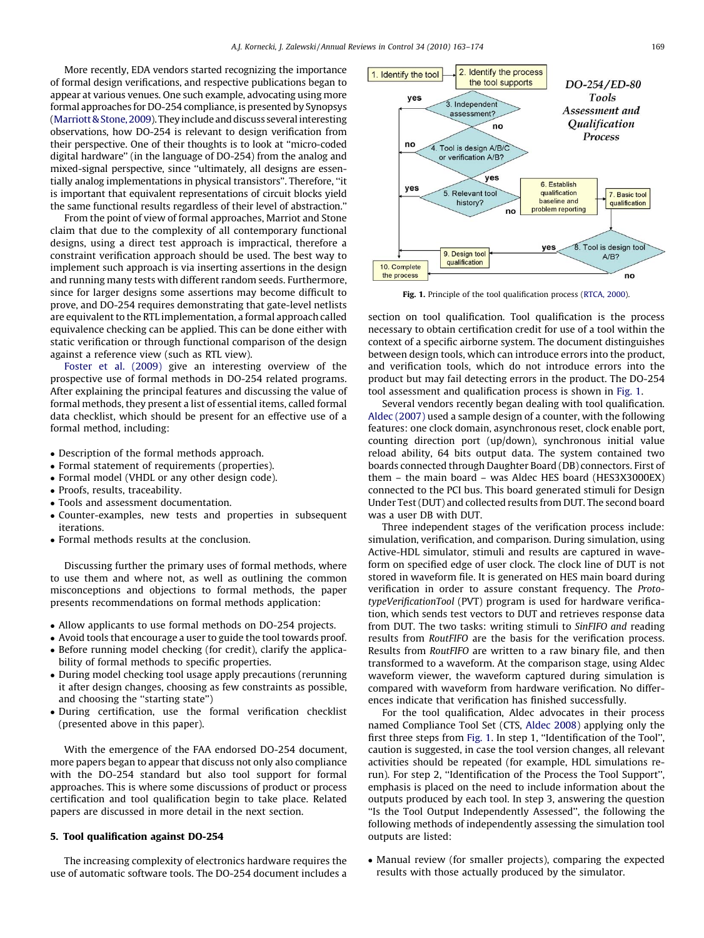<span id="page-7-0"></span>More recently, EDA vendors started recognizing the importance of formal design verifications, and respective publications began to appear at various venues. One such example, advocating using more formal approaches for DO-254 compliance, is presented by Synopsys ([Marriott& Stone, 2009\)](#page-12-0). They include and discuss several interesting observations, how DO-254 is relevant to design verification from their perspective. One of their thoughts is to look at ''micro-coded digital hardware'' (in the language of DO-254) from the analog and mixed-signal perspective, since ''ultimately, all designs are essentially analog implementations in physical transistors''. Therefore, ''it is important that equivalent representations of circuit blocks yield the same functional results regardless of their level of abstraction.''

From the point of view of formal approaches, Marriot and Stone claim that due to the complexity of all contemporary functional designs, using a direct test approach is impractical, therefore a constraint verification approach should be used. The best way to implement such approach is via inserting assertions in the design and running many tests with different random seeds. Furthermore, since for larger designs some assertions may become difficult to prove, and DO-254 requires demonstrating that gate-level netlists are equivalent to the RTL implementation, a formal approach called equivalence checking can be applied. This can be done either with static verification or through functional comparison of the design against a reference view (such as RTL view).

[Foster et al. \(2009\)](#page-11-0) give an interesting overview of the prospective use of formal methods in DO-254 related programs. After explaining the principal features and discussing the value of formal methods, they present a list of essential items, called formal data checklist, which should be present for an effective use of a formal method, including:

- Description of the formal methods approach.
- Formal statement of requirements (properties).
- Formal model (VHDL or any other design code).
- Proofs, results, traceability.
- Tools and assessment documentation.
- Counter-examples, new tests and properties in subsequent iterations.
- Formal methods results at the conclusion.

Discussing further the primary uses of formal methods, where to use them and where not, as well as outlining the common misconceptions and objections to formal methods, the paper presents recommendations on formal methods application:

- Allow applicants to use formal methods on DO-254 projects.
- Avoid tools that encourage a user to guide the tool towards proof. - Before running model checking (for credit), clarify the applicability of formal methods to specific properties.
- During model checking tool usage apply precautions (rerunning it after design changes, choosing as few constraints as possible, and choosing the ''starting state'')
- During certification, use the formal verification checklist (presented above in this paper).

With the emergence of the FAA endorsed DO-254 document, more papers began to appear that discuss not only also compliance with the DO-254 standard but also tool support for formal approaches. This is where some discussions of product or process certification and tool qualification begin to take place. Related papers are discussed in more detail in the next section.

#### 5. Tool qualification against DO-254

The increasing complexity of electronics hardware requires the use of automatic software tools. The DO-254 document includes a



Fig. 1. Principle of the tool qualification process [\(RTCA, 2000](#page-12-0)).

section on tool qualification. Tool qualification is the process necessary to obtain certification credit for use of a tool within the context of a specific airborne system. The document distinguishes between design tools, which can introduce errors into the product, and verification tools, which do not introduce errors into the product but may fail detecting errors in the product. The DO-254 tool assessment and qualification process is shown in Fig. 1.

Several vendors recently began dealing with tool qualification. [Aldec \(2007\)](#page-11-0) used a sample design of a counter, with the following features: one clock domain, asynchronous reset, clock enable port, counting direction port (up/down), synchronous initial value reload ability, 64 bits output data. The system contained two boards connected through Daughter Board (DB) connectors. First of them – the main board – was Aldec HES board (HES3X3000EX) connected to the PCI bus. This board generated stimuli for Design Under Test (DUT) and collected results from DUT. The second board was a user DB with DUT.

Three independent stages of the verification process include: simulation, verification, and comparison. During simulation, using Active-HDL simulator, stimuli and results are captured in waveform on specified edge of user clock. The clock line of DUT is not stored in waveform file. It is generated on HES main board during verification in order to assure constant frequency. The PrototypeVerificationTool (PVT) program is used for hardware verification, which sends test vectors to DUT and retrieves response data from DUT. The two tasks: writing stimuli to SinFIFO and reading results from RoutFIFO are the basis for the verification process. Results from RoutFIFO are written to a raw binary file, and then transformed to a waveform. At the comparison stage, using Aldec waveform viewer, the waveform captured during simulation is compared with waveform from hardware verification. No differences indicate that verification has finished successfully.

For the tool qualification, Aldec advocates in their process named Compliance Tool Set (CTS, [Aldec 2008](#page-11-0)) applying only the first three steps from Fig. 1. In step 1, ''Identification of the Tool'', caution is suggested, in case the tool version changes, all relevant activities should be repeated (for example, HDL simulations rerun). For step 2, ''Identification of the Process the Tool Support'', emphasis is placed on the need to include information about the outputs produced by each tool. In step 3, answering the question ''Is the Tool Output Independently Assessed'', the following the following methods of independently assessing the simulation tool outputs are listed:

• Manual review (for smaller projects), comparing the expected results with those actually produced by the simulator.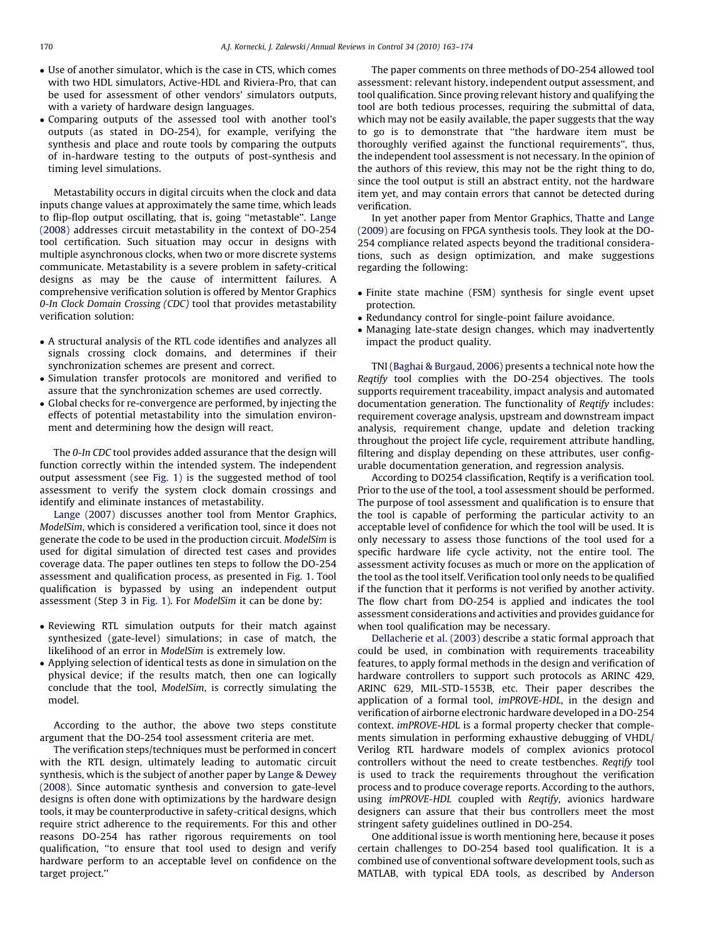- Use of another simulator, which is the case in CTS, which comes with two HDL simulators, Active-HDL and Riviera-Pro, that can be used for assessment of other vendors' simulators outputs, with a variety of hardware design languages.
- Comparing outputs of the assessed tool with another tool's outputs (as stated in DO-254), for example, verifying the synthesis and place and route tools by comparing the outputs of in-hardware testing to the outputs of post-synthesis and timing level simulations.

Metastability occurs in digital circuits when the clock and data inputs change values at approximately the same time, which leads to flip-flop output oscillating, that is, going ''metastable''. [Lange](#page-11-0) [\(2008\)](#page-11-0) addresses circuit metastability in the context of DO-254 tool certification. Such situation may occur in designs with multiple asynchronous clocks, when two or more discrete systems communicate. Metastability is a severe problem in safety-critical designs as may be the cause of intermittent failures. A comprehensive verification solution is offered by Mentor Graphics 0-In Clock Domain Crossing (CDC) tool that provides metastability verification solution:

- A structural analysis of the RTL code identifies and analyzes all signals crossing clock domains, and determines if their synchronization schemes are present and correct.
- Simulation transfer protocols are monitored and verified to assure that the synchronization schemes are used correctly.
- Global checks for re-convergence are performed, by injecting the effects of potential metastability into the simulation environment and determining how the design will react.

The 0-In CDC tool provides added assurance that the design will function correctly within the intended system. The independent output assessment (see [Fig. 1](#page-7-0)) is the suggested method of tool assessment to verify the system clock domain crossings and identify and eliminate instances of metastability.

[Lange \(2007\)](#page-11-0) discusses another tool from Mentor Graphics, ModelSim, which is considered a verification tool, since it does not generate the code to be used in the production circuit. ModelSim is used for digital simulation of directed test cases and provides coverage data. The paper outlines ten steps to follow the DO-254 assessment and qualification process, as presented in [Fig. 1.](#page-7-0) Tool qualification is bypassed by using an independent output assessment (Step 3 in [Fig. 1](#page-7-0)). For ModelSim it can be done by:

- Reviewing RTL simulation outputs for their match against synthesized (gate-level) simulations; in case of match, the likelihood of an error in ModelSim is extremely low.
- Applying selection of identical tests as done in simulation on the physical device; if the results match, then one can logically conclude that the tool, ModelSim, is correctly simulating the model.

According to the author, the above two steps constitute argument that the DO-254 tool assessment criteria are met.

The verification steps/techniques must be performed in concert with the RTL design, ultimately leading to automatic circuit synthesis, which is the subject of another paper by [Lange & Dewey](#page-11-0) [\(2008\).](#page-11-0) Since automatic synthesis and conversion to gate-level designs is often done with optimizations by the hardware design tools, it may be counterproductive in safety-critical designs, which require strict adherence to the requirements. For this and other reasons DO-254 has rather rigorous requirements on tool qualification, ''to ensure that tool used to design and verify hardware perform to an acceptable level on confidence on the target project.''

The paper comments on three methods of DO-254 allowed tool assessment: relevant history, independent output assessment, and tool qualification. Since proving relevant history and qualifying the tool are both tedious processes, requiring the submittal of data, which may not be easily available, the paper suggests that the way to go is to demonstrate that ''the hardware item must be thoroughly verified against the functional requirements'', thus, the independent tool assessment is not necessary. In the opinion of the authors of this review, this may not be the right thing to do, since the tool output is still an abstract entity, not the hardware item yet, and may contain errors that cannot be detected during verification.

In yet another paper from Mentor Graphics, [Thatte and Lange](#page-12-0) [\(2009\)](#page-12-0) are focusing on FPGA synthesis tools. They look at the DO-254 compliance related aspects beyond the traditional considerations, such as design optimization, and make suggestions regarding the following:

- Finite state machine (FSM) synthesis for single event upset protection.
- Redundancy control for single-point failure avoidance.
- Managing late-state design changes, which may inadvertently impact the product quality.

TNI ([Baghai & Burgaud, 2006\)](#page-11-0) presents a technical note how the Reqtify tool complies with the DO-254 objectives. The tools supports requirement traceability, impact analysis and automated documentation generation. The functionality of Reqtify includes: requirement coverage analysis, upstream and downstream impact analysis, requirement change, update and deletion tracking throughout the project life cycle, requirement attribute handling, filtering and display depending on these attributes, user configurable documentation generation, and regression analysis.

According to DO254 classification, Reqtify is a verification tool. Prior to the use of the tool, a tool assessment should be performed. The purpose of tool assessment and qualification is to ensure that the tool is capable of performing the particular activity to an acceptable level of confidence for which the tool will be used. It is only necessary to assess those functions of the tool used for a specific hardware life cycle activity, not the entire tool. The assessment activity focuses as much or more on the application of the tool as the tool itself. Verification tool only needs to be qualified if the function that it performs is not verified by another activity. The flow chart from DO-254 is applied and indicates the tool assessment considerations and activities and provides guidance for when tool qualification may be necessary.

[Dellacherie et al. \(2003\)](#page-11-0) describe a static formal approach that could be used, in combination with requirements traceability features, to apply formal methods in the design and verification of hardware controllers to support such protocols as ARINC 429, ARINC 629, MIL-STD-1553B, etc. Their paper describes the application of a formal tool, imPROVE-HDL, in the design and verification of airborne electronic hardware developed in a DO-254 context. imPROVE-HDL is a formal property checker that complements simulation in performing exhaustive debugging of VHDL/ Verilog RTL hardware models of complex avionics protocol controllers without the need to create testbenches. Reqtify tool is used to track the requirements throughout the verification process and to produce coverage reports. According to the authors, using imPROVE-HDL coupled with Reqtify, avionics hardware designers can assure that their bus controllers meet the most stringent safety guidelines outlined in DO-254.

One additional issue is worth mentioning here, because it poses certain challenges to DO-254 based tool qualification. It is a combined use of conventional software development tools, such as MATLAB, with typical EDA tools, as described by [Anderson](#page-11-0)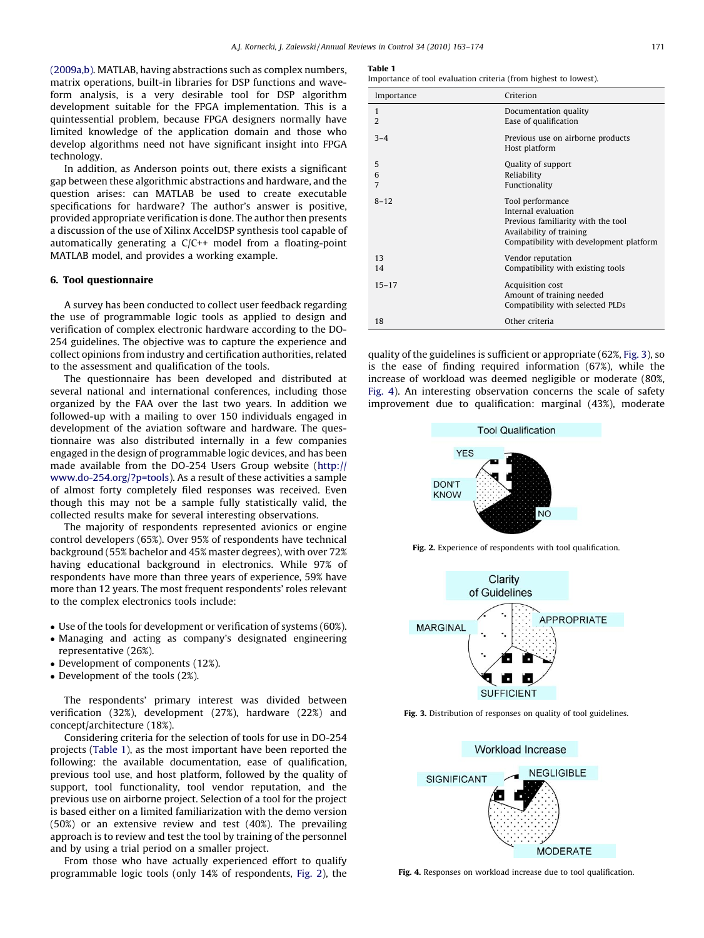<span id="page-9-0"></span>[\(2009a,b\).](#page-11-0) MATLAB, having abstractions such as complex numbers, matrix operations, built-in libraries for DSP functions and waveform analysis, is a very desirable tool for DSP algorithm development suitable for the FPGA implementation. This is a quintessential problem, because FPGA designers normally have limited knowledge of the application domain and those who develop algorithms need not have significant insight into FPGA technology.

In addition, as Anderson points out, there exists a significant gap between these algorithmic abstractions and hardware, and the question arises: can MATLAB be used to create executable specifications for hardware? The author's answer is positive, provided appropriate verification is done. The author then presents a discussion of the use of Xilinx AccelDSP synthesis tool capable of automatically generating a C/C++ model from a floating-point MATLAB model, and provides a working example.

#### 6. Tool questionnaire

A survey has been conducted to collect user feedback regarding the use of programmable logic tools as applied to design and verification of complex electronic hardware according to the DO-254 guidelines. The objective was to capture the experience and collect opinions from industry and certification authorities, related to the assessment and qualification of the tools.

The questionnaire has been developed and distributed at several national and international conferences, including those organized by the FAA over the last two years. In addition we followed-up with a mailing to over 150 individuals engaged in development of the aviation software and hardware. The questionnaire was also distributed internally in a few companies engaged in the design of programmable logic devices, and has been made available from the DO-254 Users Group website ([http://](http://www.do-254.org/%3Fp=tools) [www.do-254.org/?p=tools](http://www.do-254.org/%3Fp=tools)). As a result of these activities a sample of almost forty completely filed responses was received. Even though this may not be a sample fully statistically valid, the collected results make for several interesting observations.

The majority of respondents represented avionics or engine control developers (65%). Over 95% of respondents have technical background (55% bachelor and 45% master degrees), with over 72% having educational background in electronics. While 97% of respondents have more than three years of experience, 59% have more than 12 years. The most frequent respondents' roles relevant to the complex electronics tools include:

- Use of the tools for development or verification of systems (60%).
- Managing and acting as company's designated engineering representative (26%).
- Development of components (12%).
- Development of the tools (2%).

The respondents' primary interest was divided between verification (32%), development (27%), hardware (22%) and concept/architecture (18%).

Considering criteria for the selection of tools for use in DO-254 projects (Table 1), as the most important have been reported the following: the available documentation, ease of qualification, previous tool use, and host platform, followed by the quality of support, tool functionality, tool vendor reputation, and the previous use on airborne project. Selection of a tool for the project is based either on a limited familiarization with the demo version (50%) or an extensive review and test (40%). The prevailing approach is to review and test the tool by training of the personnel and by using a trial period on a smaller project.

From those who have actually experienced effort to qualify programmable logic tools (only 14% of respondents, Fig. 2), the

#### Table 1

Importance of tool evaluation criteria (from highest to lowest).

| Importance                     | Criterion                                                                                                                                            |
|--------------------------------|------------------------------------------------------------------------------------------------------------------------------------------------------|
| $\mathbf{1}$<br>$\overline{2}$ | Documentation quality<br>Ease of qualification                                                                                                       |
| $3 - 4$                        | Previous use on airborne products<br>Host platform                                                                                                   |
| 5<br>6<br>7                    | Quality of support<br>Reliability<br>Functionality                                                                                                   |
| $8 - 12$                       | Tool performance<br>Internal evaluation<br>Previous familiarity with the tool<br>Availability of training<br>Compatibility with development platform |
| 13<br>14                       | Vendor reputation<br>Compatibility with existing tools                                                                                               |
| $15 - 17$                      | Acquisition cost<br>Amount of training needed<br>Compatibility with selected PLDs                                                                    |
| 18                             | Other criteria                                                                                                                                       |

quality of the guidelines is sufficient or appropriate (62%, Fig. 3), so is the ease of finding required information (67%), while the increase of workload was deemed negligible or moderate (80%, Fig. 4). An interesting observation concerns the scale of safety improvement due to qualification: marginal (43%), moderate



Fig. 2. Experience of respondents with tool qualification.



Fig. 3. Distribution of responses on quality of tool guidelines.



Fig. 4. Responses on workload increase due to tool qualification.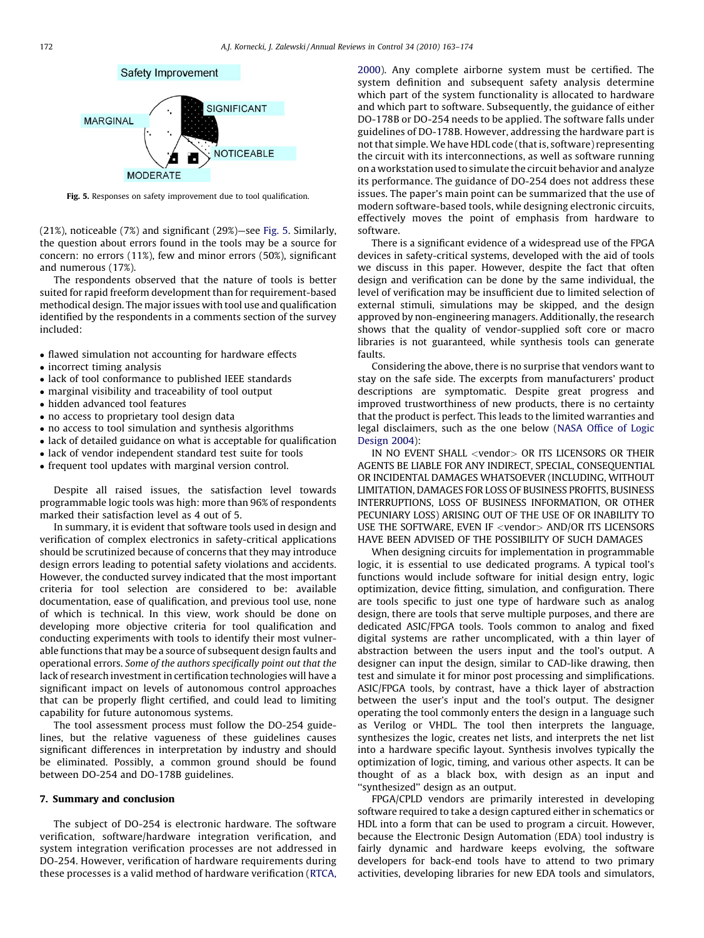<span id="page-10-0"></span>

Fig. 5. Responses on safety improvement due to tool qualification.

(21%), noticeable (7%) and significant (29%)—see Fig. 5. Similarly, the question about errors found in the tools may be a source for concern: no errors (11%), few and minor errors (50%), significant and numerous (17%).

The respondents observed that the nature of tools is better suited for rapid freeform development than for requirement-based methodical design. The major issues with tool use and qualification identified by the respondents in a comments section of the survey included:

- flawed simulation not accounting for hardware effects
- incorrect timing analysis
- lack of tool conformance to published IEEE standards
- marginal visibility and traceability of tool output
- hidden advanced tool features
- no access to proprietary tool design data
- no access to tool simulation and synthesis algorithms
- lack of detailed guidance on what is acceptable for qualification
- lack of vendor independent standard test suite for tools
- frequent tool updates with marginal version control.

Despite all raised issues, the satisfaction level towards programmable logic tools was high: more than 96% of respondents marked their satisfaction level as 4 out of 5.

In summary, it is evident that software tools used in design and verification of complex electronics in safety-critical applications should be scrutinized because of concerns that they may introduce design errors leading to potential safety violations and accidents. However, the conducted survey indicated that the most important criteria for tool selection are considered to be: available documentation, ease of qualification, and previous tool use, none of which is technical. In this view, work should be done on developing more objective criteria for tool qualification and conducting experiments with tools to identify their most vulnerable functions that may be a source of subsequent design faults and operational errors. Some of the authors specifically point out that the lack of research investment in certification technologies will have a significant impact on levels of autonomous control approaches that can be properly flight certified, and could lead to limiting capability for future autonomous systems.

The tool assessment process must follow the DO-254 guidelines, but the relative vagueness of these guidelines causes significant differences in interpretation by industry and should be eliminated. Possibly, a common ground should be found between DO-254 and DO-178B guidelines.

#### 7. Summary and conclusion

The subject of DO-254 is electronic hardware. The software verification, software/hardware integration verification, and system integration verification processes are not addressed in DO-254. However, verification of hardware requirements during these processes is a valid method of hardware verification [\(RTCA,](#page-12-0)

[2000](#page-12-0)). Any complete airborne system must be certified. The system definition and subsequent safety analysis determine which part of the system functionality is allocated to hardware and which part to software. Subsequently, the guidance of either DO-178B or DO-254 needs to be applied. The software falls under guidelines of DO-178B. However, addressing the hardware part is not that simple.We have HDL code (that is, software) representing the circuit with its interconnections, as well as software running on a workstation used to simulate the circuit behavior and analyze its performance. The guidance of DO-254 does not address these issues. The paper's main point can be summarized that the use of modern software-based tools, while designing electronic circuits, effectively moves the point of emphasis from hardware to software.

There is a significant evidence of a widespread use of the FPGA devices in safety-critical systems, developed with the aid of tools we discuss in this paper. However, despite the fact that often design and verification can be done by the same individual, the level of verification may be insufficient due to limited selection of external stimuli, simulations may be skipped, and the design approved by non-engineering managers. Additionally, the research shows that the quality of vendor-supplied soft core or macro libraries is not guaranteed, while synthesis tools can generate faults.

Considering the above, there is no surprise that vendors want to stay on the safe side. The excerpts from manufacturers' product descriptions are symptomatic. Despite great progress and improved trustworthiness of new products, there is no certainty that the product is perfect. This leads to the limited warranties and legal disclaimers, such as the one below ([NASA Office of Logic](#page-12-0) [Design 2004\)](#page-12-0):

IN NO EVENT SHALL <vendor> OR ITS LICENSORS OR THEIR AGENTS BE LIABLE FOR ANY INDIRECT, SPECIAL, CONSEQUENTIAL OR INCIDENTAL DAMAGES WHATSOEVER (INCLUDING, WITHOUT LIMITATION, DAMAGES FOR LOSS OF BUSINESS PROFITS, BUSINESS INTERRUPTIONS, LOSS OF BUSINESS INFORMATION, OR OTHER PECUNIARY LOSS) ARISING OUT OF THE USE OF OR INABILITY TO USE THE SOFTWARE, EVEN IF <vendor> AND/OR ITS LICENSORS HAVE BEEN ADVISED OF THE POSSIBILITY OF SUCH DAMAGES

When designing circuits for implementation in programmable logic, it is essential to use dedicated programs. A typical tool's functions would include software for initial design entry, logic optimization, device fitting, simulation, and configuration. There are tools specific to just one type of hardware such as analog design, there are tools that serve multiple purposes, and there are dedicated ASIC/FPGA tools. Tools common to analog and fixed digital systems are rather uncomplicated, with a thin layer of abstraction between the users input and the tool's output. A designer can input the design, similar to CAD-like drawing, then test and simulate it for minor post processing and simplifications. ASIC/FPGA tools, by contrast, have a thick layer of abstraction between the user's input and the tool's output. The designer operating the tool commonly enters the design in a language such as Verilog or VHDL. The tool then interprets the language, synthesizes the logic, creates net lists, and interprets the net list into a hardware specific layout. Synthesis involves typically the optimization of logic, timing, and various other aspects. It can be thought of as a black box, with design as an input and ''synthesized'' design as an output.

FPGA/CPLD vendors are primarily interested in developing software required to take a design captured either in schematics or HDL into a form that can be used to program a circuit. However, because the Electronic Design Automation (EDA) tool industry is fairly dynamic and hardware keeps evolving, the software developers for back-end tools have to attend to two primary activities, developing libraries for new EDA tools and simulators,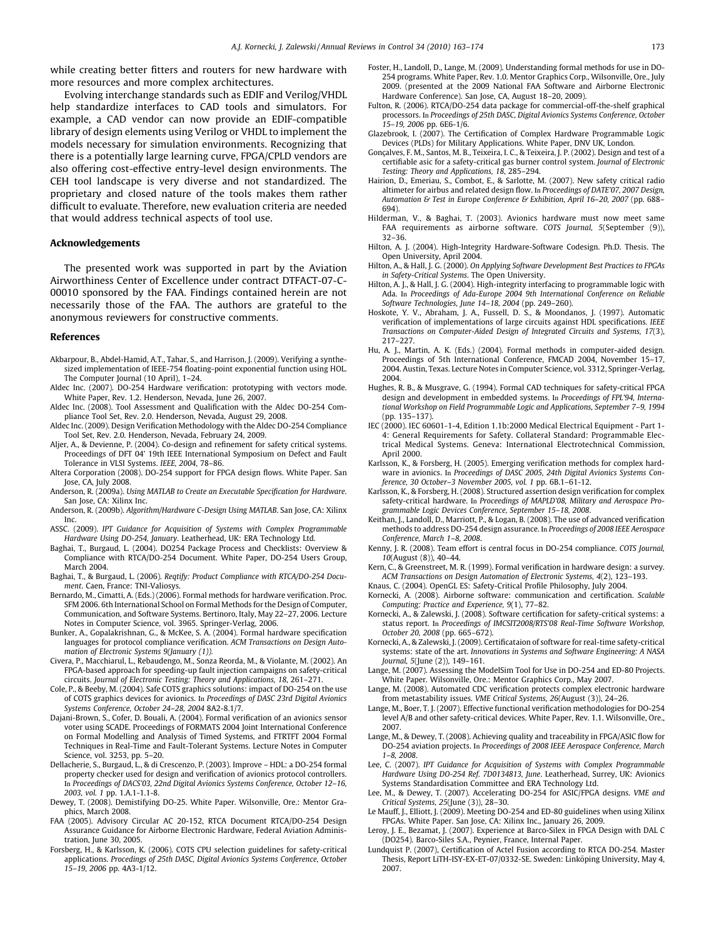<span id="page-11-0"></span>while creating better fitters and routers for new hardware with more resources and more complex architectures.

Evolving interchange standards such as EDIF and Verilog/VHDL help standardize interfaces to CAD tools and simulators. For example, a CAD vendor can now provide an EDIF-compatible library of design elements using Verilog or VHDL to implement the models necessary for simulation environments. Recognizing that there is a potentially large learning curve, FPGA/CPLD vendors are also offering cost-effective entry-level design environments. The CEH tool landscape is very diverse and not standardized. The proprietary and closed nature of the tools makes them rather difficult to evaluate. Therefore, new evaluation criteria are needed that would address technical aspects of tool use.

#### Acknowledgements

The presented work was supported in part by the Aviation Airworthiness Center of Excellence under contract DTFACT-07-C-00010 sponsored by the FAA. Findings contained herein are not necessarily those of the FAA. The authors are grateful to the anonymous reviewers for constructive comments.

#### References

- Akbarpour, B., Abdel-Hamid, A.T., Tahar, S., and Harrison, J. (2009). Verifying a synthesized implementation of IEEE-754 floating-point exponential function using HOL. The Computer Journal (10 April), 1-24.
- Aldec Inc. (2007). DO-254 Hardware verification: prototyping with vectors mode. White Paper, Rev. 1.2. Henderson, Nevada, June 26, 2007.
- Aldec Inc. (2008). Tool Assessment and Qualification with the Aldec DO-254 Compliance Tool Set, Rev. 2.0. Henderson, Nevada, August 29, 2008.
- Aldec Inc. (2009). Design Verification Methodology with the Aldec DO-254 Compliance Tool Set, Rev. 2.0. Henderson, Nevada, February 24, 2009.
- Aljer, A., & Devienne, P. (2004). Co-design and refinement for safety critical systems. Proceedings of DFT 04' 19th IEEE International Symposium on Defect and Fault Tolerance in VLSI Systems. IEEE, 2004, 78–86.
- Altera Corporation (2008). DO-254 support for FPGA design flows. White Paper. San Jose, CA, July 2008.
- Anderson, R. (2009a). Using MATLAB to Create an Executable Specification for Hardware. San Jose, CA: Xilinx Inc.
- Anderson, R. (2009b). Algorithm/Hardware C-Design Using MATLAB. San Jose, CA: Xilinx Inc.
- ASSC. (2009). IPT Guidance for Acquisition of Systems with Complex Programmable Hardware Using DO-254, January. Leatherhead, UK: ERA Technology Ltd.
- Baghai, T., Burgaud, L. (2004). DO254 Package Process and Checklists: Overview & Compliance with RTCA/DO-254 Document. White Paper, DO-254 Users Group, March 2004.
- Baghai, T., & Burgaud, L. (2006). Reqtify: Product Compliance with RTCA/DO-254 Document. Caen, France: TNI-Valiosys.
- Bernardo, M., Cimatti, A. (Eds.) (2006). Formal methods for hardware verification. Proc. SFM 2006. 6th International School on Formal Methods for the Design of Computer, Communication, and Software Systems. Bertinoro, Italy, May 22–27, 2006. Lecture Notes in Computer Science, vol. 3965. Springer-Verlag, 2006.
- Bunker, A., Gopalakrishnan, G., & McKee, S. A. (2004). Formal hardware specification languages for protocol compliance verification. ACM Transactions on Design Automation of Electronic Systems 9(January (1)).
- Civera, P., Macchiarul, L., Rebaudengo, M., Sonza Reorda, M., & Violante, M. (2002). An FPGA-based approach for speeding-up fault injection campaigns on safety-critical circuits. Journal of Electronic Testing: Theory and Applications, 18, 261–271.
- Cole, P., & Beeby, M. (2004). Safe COTS graphics solutions: impact of DO-254 on the use of COTS graphics devices for avionics. In Proceedings of DASC 23rd Digital Avionics Systems Conference, October 24–28, 2004 8A2-8.1/7.
- Dajani-Brown, S., Cofer, D. Bouali, A. (2004). Formal verification of an avionics sensor voter using SCADE. Proceedings of FORMATS 2004 Joint International Conference on Formal Modelling and Analysis of Timed Systems, and FTRTFT 2004 Formal Techniques in Real-Time and Fault-Tolerant Systems. Lecture Notes in Computer Science, vol. 3253, pp. 5–20.
- Dellacherie, S., Burgaud, L., & di Crescenzo, P. (2003). Improve HDL: a DO-254 formal property checker used for design and verification of avionics protocol controllers. In Proceedings of DACS'03, 22nd Digital Avionics Systems Conference, October 12–16, 2003, vol. 1 pp. 1.A.1-1.1-8.
- Dewey, T. (2008). Demistifying DO-25. White Paper. Wilsonville, Ore.: Mentor Graphics, March 2008.
- FAA (2005). Advisory Circular AC 20-152, RTCA Document RTCA/DO-254 Design Assurance Guidance for Airborne Electronic Hardware, Federal Aviation Administration, June 30, 2005.
- Forsberg, H., & Karlsson, K. (2006). COTS CPU selection guidelines for safety-critical applications. Procedings of 25th DASC, Digital Avionics Systems Conference, October 15–19, 2006 pp. 4A3-1/12.
- Foster, H., Landoll, D., Lange, M. (2009). Understanding formal methods for use in DO-254 programs. White Paper, Rev. 1.0. Mentor Graphics Corp., Wilsonville, Ore., July 2009. (presented at the 2009 National FAA Software and Airborne Electronic Hardware Conference). San Jose, CA, August 18–20, 2009).
- Fulton, R. (2006). RTCA/DO-254 data package for commercial-off-the-shelf graphical processors. In Proceedings of 25th DASC, Digital Avionics Systems Conference, October  $15-19$ , 2006 pp. 6E6-1/6.
- Glazebrook, I. (2007). The Certification of Complex Hardware Programmable Logic Devices (PLDs) for Military Applications. White Paper, DNV UK, London.
- Gonçalves, F. M., Santos, M. B., Teixeira, I. C., & Teixeira, J. P. (2002). Design and test of a certifiable asic for a safety-critical gas burner control system. Journal of Electronic Testing: Theory and Applications, 18, 285–294.
- Hairion, D., Emeriau, S., Combot, E., & Sarlotte, M. (2007). New safety critical radio altimeter for airbus and related design flow. In Proceedings of DATE'07, 2007 Design, Automation & Test in Europe Conference & Exhibition, April 16–20, 2007 (pp. 688– 694).
- Hilderman, V., & Baghai, T. (2003). Avionics hardware must now meet same FAA requirements as airborne software. COTS Journal, 5(September (9)), 32–36.
- Hilton, A. J. (2004). High-Integrity Hardware-Software Codesign. Ph.D. Thesis. The Open University, April 2004.
- Hilton, A., & Hall, J. G. (2000). On Applying Software Development Best Practices to FPGAs in Safety-Critical Systems. The Open University.
- Hilton, A. J., & Hall, J. G. (2004). High-integrity interfacing to programmable logic with Ada. In Proceedings of Ada-Europe 2004 9th International Conference on Reliable Software Technologies, June 14–18, 2004 (pp. 249–260). Hoskote, Y. V., Abraham, J. A., Fussell, D. S., & Moondanos, J. (1997). Automatic
- verification of implementations of large circuits against HDL specifications. IEEE Transactions on Computer-Aided Design of Integrated Circuits and Systems, 17(3), 217–227.
- Hu, A. J., Martin, A. K. (Eds.) (2004). Formal methods in computer-aided design. Proceedings of 5th International Conference, FMCAD 2004, November 15–17, 2004. Austin, Texas. Lecture Notes in Computer Science, vol. 3312, Springer-Verlag, 2004.
- Hughes, R. B., & Musgrave, G. (1994). Formal CAD techniques for safety-critical FPGA design and development in embedded systems. In Proceedings of FPL'94, International Workshop on Field Programmable Logic and Applications, September 7–9, 1994 (pp. 135–137).
- IEC (2000). IEC 60601-1-4, Edition 1.1b:2000 Medical Electrical Equipment Part 1- 4: General Requirements for Safety. Collateral Standard: Programmable Electrical Medical Systems. Geneva: International Electrotechnical Commission, April 2000.
- Karlsson, K., & Forsberg, H. (2005). Emerging verification methods for complex hardware in avionics. In Proceedings of DASC 2005, 24th Digital Avionics Systems Conference, 30 October–3 November 2005, vol. 1 pp. 6B.1–61-12.
- Karlsson, K., & Forsberg, H. (2008). Structured assertion design verification for complex safety-critical hardware. In Proceedings of MAPLD'08, Military and Aerospace Programmable Logic Devices Conference, September 15–18, 2008.
- Keithan, J., Landoll, D., Marriott, P., & Logan, B. (2008). The use of advanced verification methods to address DO-254 design assurance. In Proceedings of 2008 IEEE Aerospace Conference, March 1–8, 2008.
- Kenny, J. R. (2008). Team effort is central focus in DO-254 compliance. COTS Journal, 10(August (8)), 40–44.
- Kern, C., & Greenstreet, M. R. (1999). Formal verification in hardware design: a survey. ACM Transactions on Design Automation of Electronic Systems, 4(2), 123–193.

Knaus, C. (2004). OpenGL ES: Safety-Critical Profile Philosophy, July 2004.

- Kornecki, A. (2008). Airborne software: communication and certification. Scalable Computing: Practice and Experience, 9(1), 77–82.
- Kornecki, A., & Zalewski, J. (2008). Software certification for safety-critical systems: a status report. In Proceedings of IMCSIT2008/RTS'08 Real-Time Software Workshop, October 20, 2008 (pp. 665–672).
- Kornecki, A., & Zalewski, J. (2009). Certificataion of software for real-time safety-critical systems: state of the art. Innovations in Systems and Software Engineering: A NASA Journal, 5(June (2)), 149–161.
- Lange, M. (2007). Assessing the ModelSim Tool for Use in DO-254 and ED-80 Projects. White Paper. Wilsonville, Ore.: Mentor Graphics Corp., May 2007.
- Lange, M. (2008). Automated CDC verification protects complex electronic hardware from metastability issues. VME Critical Systems, 26(August (3)), 24–26.
- Lange, M., Boer, T. J. (2007). Effective functional verification methodologies for DO-254 level A/B and other safety-critical devices. White Paper, Rev. 1.1. Wilsonville, Ore., 2007.
- Lange, M., & Dewey, T. (2008). Achieving quality and traceability in FPGA/ASIC flow for DO-254 aviation projects. In Proceedings of 2008 IEEE Aerospace Conference, March 1–8, 2008.
- Lee, C. (2007). IPT Guidance for Acquisition of Systems with Complex Programmable Hardware Using DO-254 Ref. 7D0134813, June. Leatherhead, Surrey, UK: Avionics Systems Standardisation Committee and ERA Technology Ltd.
- Lee, M., & Dewey, T. (2007). Accelerating DO-254 for ASIC/FPGA designs. VME and Critical Systems, 25(June (3)), 28–30.
- Le Mauff, J., Elliott, J. (2009). Meeting DO-254 and ED-80 guidelines when using Xilinx FPGAs. White Paper. San Jose, CA: Xilinx Inc., January 26, 2009.
- Leroy, J. E., Bezamat, J. (2007). Experience at Barco-Silex in FPGA Design with DAL C (DO254). Barco-Siles S.A., Peynier, France, Internal Paper.
- Lundquist P. (2007), Certification of Actel Fusion according to RTCA DO-254. Master Thesis, Report LiTH-ISY-EX-ET-07/0332-SE. Sweden: Linköping University, May 4, 2007.